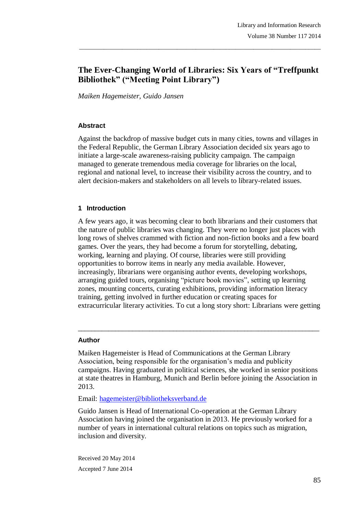# **The Ever-Changing World of Libraries: Six Years of "Treffpunkt Bibliothek" ("Meeting Point Library")**

\_\_\_\_\_\_\_\_\_\_\_\_\_\_\_\_\_\_\_\_\_\_\_\_\_\_\_\_\_\_\_\_\_\_\_\_\_\_\_\_\_\_\_\_\_\_\_\_\_\_\_\_\_\_\_\_\_\_\_\_\_\_\_\_\_\_\_\_\_\_\_\_\_\_\_\_\_\_\_

*Maiken Hagemeister, Guido Jansen*

#### **Abstract**

Against the backdrop of massive budget cuts in many cities, towns and villages in the Federal Republic, the German Library Association decided six years ago to initiate a large-scale awareness-raising publicity campaign. The campaign managed to generate tremendous media coverage for libraries on the local, regional and national level, to increase their visibility across the country, and to alert decision-makers and stakeholders on all levels to library-related issues.

#### **1 Introduction**

A few years ago, it was becoming clear to both librarians and their customers that the nature of public libraries was changing. They were no longer just places with long rows of shelves crammed with fiction and non-fiction books and a few board games. Over the years, they had become a forum for storytelling, debating, working, learning and playing. Of course, libraries were still providing opportunities to borrow items in nearly any media available. However, increasingly, librarians were organising author events, developing workshops, arranging guided tours, organising "picture book movies", setting up learning zones, mounting concerts, curating exhibitions, providing information literacy training, getting involved in further education or creating spaces for extracurricular literary activities. To cut a long story short: Librarians were getting

#### **Author**

Maiken Hagemeister is Head of Communications at the German Library Association, being responsible for the organisation's media and publicity campaigns. Having graduated in political sciences, she worked in senior positions at state theatres in Hamburg, Munich and Berlin before joining the Association in 2013.

 $\_$  ,  $\_$  ,  $\_$  ,  $\_$  ,  $\_$  ,  $\_$  ,  $\_$  ,  $\_$  ,  $\_$  ,  $\_$  ,  $\_$  ,  $\_$  ,  $\_$  ,  $\_$  ,  $\_$  ,  $\_$  ,  $\_$  ,  $\_$  ,  $\_$ 

Email: hagemeister@bibliotheksverband.de

Guido Jansen is Head of International Co-operation at the German Library Association having joined the organisation in 2013. He previously worked for a number of years in international cultural relations on topics such as migration, inclusion and diversity.

Received 20 May 2014 Accepted 7 June 2014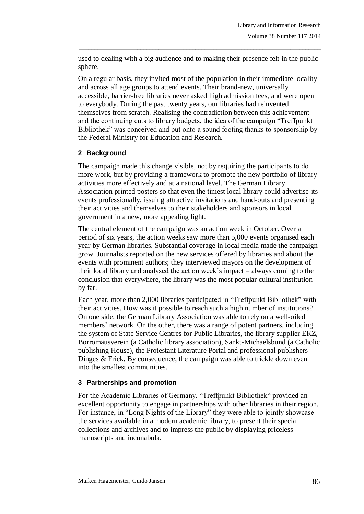used to dealing with a big audience and to making their presence felt in the public sphere.

\_\_\_\_\_\_\_\_\_\_\_\_\_\_\_\_\_\_\_\_\_\_\_\_\_\_\_\_\_\_\_\_\_\_\_\_\_\_\_\_\_\_\_\_\_\_\_\_\_\_\_\_\_\_\_\_\_\_\_\_\_\_\_\_\_\_\_\_\_\_\_\_\_\_\_\_\_\_\_

On a regular basis, they invited most of the population in their immediate locality and across all age groups to attend events. Their brand-new, universally accessible, barrier-free libraries never asked high admission fees, and were open to everybody. During the past twenty years, our libraries had reinvented themselves from scratch. Realising the contradiction between this achievement and the continuing cuts to library budgets, the idea of the campaign "Treffpunkt Bibliothek" was conceived and put onto a sound footing thanks to sponsorship by the Federal Ministry for Education and Research.

# **2 Background**

The campaign made this change visible, not by requiring the participants to do more work, but by providing a framework to promote the new portfolio of library activities more effectively and at a national level. The German Library Association printed posters so that even the tiniest local library could advertise its events professionally, issuing attractive invitations and hand-outs and presenting their activities and themselves to their stakeholders and sponsors in local government in a new, more appealing light.

The central element of the campaign was an action week in October. Over a period of six years, the action weeks saw more than 5,000 events organised each year by German libraries. Substantial coverage in local media made the campaign grow. Journalists reported on the new services offered by libraries and about the events with prominent authors; they interviewed mayors on the development of their local library and analysed the action week's impact – always coming to the conclusion that everywhere, the library was the most popular cultural institution by far.

Each year, more than 2,000 libraries participated in "Treffpunkt Bibliothek" with their activities. How was it possible to reach such a high number of institutions? On one side, the German Library Association was able to rely on a well-oiled members' network. On the other, there was a range of potent partners, including the system of State Service Centres for Public Libraries, the library supplier EKZ, Borromäusverein (a Catholic library association), Sankt-Michaelsbund (a Catholic publishing House), the Protestant Literature Portal and professional publishers Dinges & Frick. By consequence, the campaign was able to trickle down even into the smallest communities.

#### **3 Partnerships and promotion**

For the Academic Libraries of Germany, "Treffpunkt Bibliothek" provided an excellent opportunity to engage in partnerships with other libraries in their region. For instance, in "Long Nights of the Library" they were able to jointly showcase the services available in a modern academic library, to present their special collections and archives and to impress the public by displaying priceless manuscripts and incunabula.

\_\_\_\_\_\_\_\_\_\_\_\_\_\_\_\_\_\_\_\_\_\_\_\_\_\_\_\_\_\_\_\_\_\_\_\_\_\_\_\_\_\_\_\_\_\_\_\_\_\_\_\_\_\_\_\_\_\_\_\_\_\_\_\_\_\_\_\_\_\_\_\_\_\_\_\_\_\_\_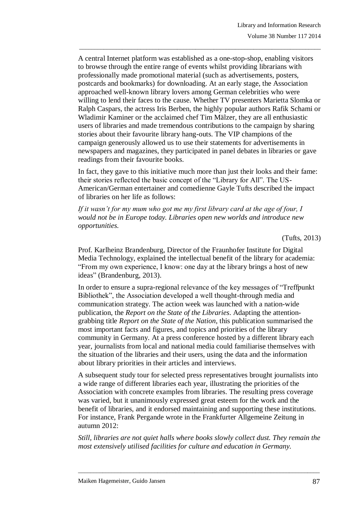A central Internet platform was established as a one-stop-shop, enabling visitors to browse through the entire range of events whilst providing librarians with professionally made promotional material (such as advertisements, posters, postcards and bookmarks) for downloading. At an early stage, the Association approached well-known library lovers among German celebrities who were willing to lend their faces to the cause. Whether TV presenters Marietta Slomka or Ralph Caspars, the actress Iris Berben, the highly popular authors Rafik Schami or Wladimir Kaminer or the acclaimed chef Tim Mälzer, they are all enthusiastic users of libraries and made tremendous contributions to the campaign by sharing stories about their favourite library hang-outs. The VIP champions of the campaign generously allowed us to use their statements for advertisements in newspapers and magazines, they participated in panel debates in libraries or gave readings from their favourite books.

\_\_\_\_\_\_\_\_\_\_\_\_\_\_\_\_\_\_\_\_\_\_\_\_\_\_\_\_\_\_\_\_\_\_\_\_\_\_\_\_\_\_\_\_\_\_\_\_\_\_\_\_\_\_\_\_\_\_\_\_\_\_\_\_\_\_\_\_\_\_\_\_\_\_\_\_\_\_\_

In fact, they gave to this initiative much more than just their looks and their fame: their stories reflected the basic concept of the "Library for All". The US-American/German entertainer and comedienne Gayle Tufts described the impact of libraries on her life as follows:

*If it wasn't for my mum who got me my first library card at the age of four, I would not be in Europe today. Libraries open new worlds and introduce new opportunities.*

(Tufts, 2013)

Prof. Karlheinz Brandenburg, Director of the Fraunhofer Institute for Digital Media Technology, explained the intellectual benefit of the library for academia: "From my own experience, I know: one day at the library brings a host of new ideas" (Brandenburg, 2013).

In order to ensure a supra-regional relevance of the key messages of "Treffpunkt Bibliothek", the Association developed a well thought-through media and communication strategy. The action week was launched with a nation-wide publication, the *Report on the State of the Libraries*. Adapting the attentiongrabbing title *Report on the State of the Nation*, this publication summarised the most important facts and figures, and topics and priorities of the library community in Germany. At a press conference hosted by a different library each year, journalists from local and national media could familiarise themselves with the situation of the libraries and their users, using the data and the information about library priorities in their articles and interviews.

A subsequent study tour for selected press representatives brought journalists into a wide range of different libraries each year, illustrating the priorities of the Association with concrete examples from libraries. The resulting press coverage was varied, but it unanimously expressed great esteem for the work and the benefit of libraries, and it endorsed maintaining and supporting these institutions. For instance, Frank Pergande wrote in the Frankfurter Allgemeine Zeitung in autumn 2012:

*Still, libraries are not quiet halls where books slowly collect dust. They remain the most extensively utilised facilities for culture and education in Germany.*

\_\_\_\_\_\_\_\_\_\_\_\_\_\_\_\_\_\_\_\_\_\_\_\_\_\_\_\_\_\_\_\_\_\_\_\_\_\_\_\_\_\_\_\_\_\_\_\_\_\_\_\_\_\_\_\_\_\_\_\_\_\_\_\_\_\_\_\_\_\_\_\_\_\_\_\_\_\_\_